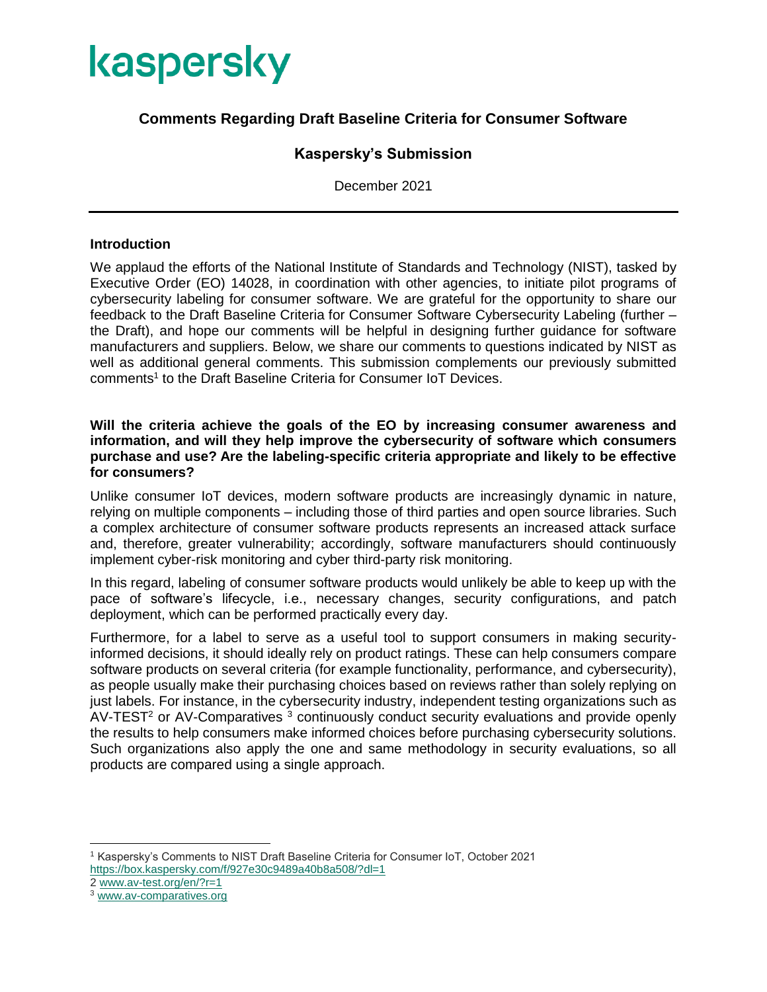

## **Comments Regarding Draft Baseline Criteria for Consumer Software**

### **Kaspersky's Submission**

December 2021

### **Introduction**

We applaud the efforts of the National Institute of Standards and Technology (NIST), tasked by Executive Order (EO) 14028, in coordination with other agencies, to initiate pilot programs of cybersecurity labeling for consumer software. We are grateful for the opportunity to share our feedback to the Draft Baseline Criteria for Consumer Software Cybersecurity Labeling (further – the Draft), and hope our comments will be helpful in designing further guidance for software manufacturers and suppliers. Below, we share our comments to questions indicated by NIST as well as additional general comments. This submission complements our previously submitted comments<sup>1</sup> to the Draft Baseline Criteria for Consumer IoT Devices.

### **Will the criteria achieve the goals of the EO by increasing consumer awareness and information, and will they help improve the cybersecurity of software which consumers purchase and use? Are the labeling-specific criteria appropriate and likely to be effective for consumers?**

Unlike consumer IoT devices, modern software products are increasingly dynamic in nature, relying on multiple components – including those of third parties and open source libraries. Such a complex architecture of consumer software products represents an increased attack surface and, therefore, greater vulnerability; accordingly, software manufacturers should continuously implement cyber-risk monitoring and cyber third-party risk monitoring.

In this regard, labeling of consumer software products would unlikely be able to keep up with the pace of software's lifecycle, i.e., necessary changes, security configurations, and patch deployment, which can be performed practically every day.

Furthermore, for a label to serve as a useful tool to support consumers in making securityinformed decisions, it should ideally rely on product ratings. These can help consumers compare software products on several criteria (for example functionality, performance, and cybersecurity), as people usually make their purchasing choices based on reviews rather than solely replying on just labels. For instance, in the cybersecurity industry, independent testing organizations such as  $AV-TEST<sup>2</sup>$  or AV-Comparatives  $3$  continuously conduct security evaluations and provide openly the results to help consumers make informed choices before purchasing cybersecurity solutions. Such organizations also apply the one and same methodology in security evaluations, so all products are compared using a single approach.

 $\overline{a}$ 

<sup>1</sup> Kaspersky's Comments to NIST Draft Baseline Criteria for Consumer IoT, October 2021 <https://box.kaspersky.com/f/927e30c9489a40b8a508/?dl=1>

<sup>2</sup> [www.av-test.org/en/?r=1](http://www.av-test.org/en/?r=1)

<sup>3</sup> [www.av-comparatives.org](http://www.av-comparatives.org/)